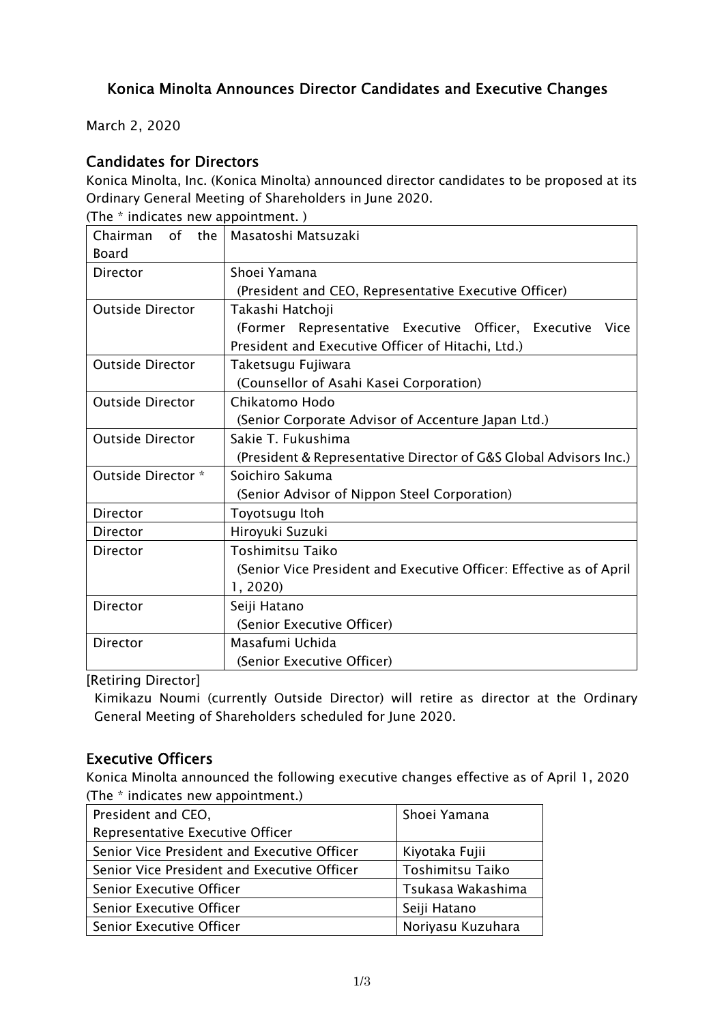## Konica Minolta Announces Director Candidates and Executive Changes

March 2, 2020

### Candidates for Directors

Konica Minolta, Inc. (Konica Minolta) announced director candidates to be proposed at its Ordinary General Meeting of Shareholders in June 2020.

| (The * indicates new appointment.) |                                                                     |  |  |
|------------------------------------|---------------------------------------------------------------------|--|--|
| of<br>the l<br>Chairman            | Masatoshi Matsuzaki                                                 |  |  |
| <b>Board</b>                       |                                                                     |  |  |
| <b>Director</b>                    | Shoei Yamana                                                        |  |  |
|                                    | (President and CEO, Representative Executive Officer)               |  |  |
| <b>Outside Director</b>            | Takashi Hatchoji                                                    |  |  |
|                                    | Representative Executive Officer, Executive<br>(Former<br>Vice      |  |  |
|                                    | President and Executive Officer of Hitachi, Ltd.)                   |  |  |
| <b>Outside Director</b>            | Taketsugu Fujiwara                                                  |  |  |
|                                    | (Counsellor of Asahi Kasei Corporation)                             |  |  |
| <b>Outside Director</b>            | Chikatomo Hodo                                                      |  |  |
|                                    | (Senior Corporate Advisor of Accenture Japan Ltd.)                  |  |  |
| <b>Outside Director</b>            | Sakie T. Fukushima                                                  |  |  |
|                                    | (President & Representative Director of G&S Global Advisors Inc.)   |  |  |
| Outside Director *                 | Soichiro Sakuma                                                     |  |  |
|                                    | (Senior Advisor of Nippon Steel Corporation)                        |  |  |
| Director                           | Toyotsugu Itoh                                                      |  |  |
| Director                           | Hiroyuki Suzuki                                                     |  |  |
| Director                           | <b>Toshimitsu Taiko</b>                                             |  |  |
|                                    | (Senior Vice President and Executive Officer: Effective as of April |  |  |
|                                    | 1, 2020)                                                            |  |  |
| Director                           | Seiji Hatano                                                        |  |  |
|                                    | (Senior Executive Officer)                                          |  |  |
| Director                           | Masafumi Uchida                                                     |  |  |
|                                    | (Senior Executive Officer)                                          |  |  |

[Retiring Director]

Kimikazu Noumi (currently Outside Director) will retire as director at the Ordinary General Meeting of Shareholders scheduled for June 2020.

#### Executive Officers

Konica Minolta announced the following executive changes effective as of April 1, 2020 (The \* indicates new appointment.)

| President and CEO,                          | Shoei Yamana      |
|---------------------------------------------|-------------------|
| Representative Executive Officer            |                   |
| Senior Vice President and Executive Officer | Kiyotaka Fujii    |
| Senior Vice President and Executive Officer | Toshimitsu Taiko  |
| Senior Executive Officer                    | Tsukasa Wakashima |
| Senior Executive Officer                    | Seiji Hatano      |
| Senior Executive Officer                    | Noriyasu Kuzuhara |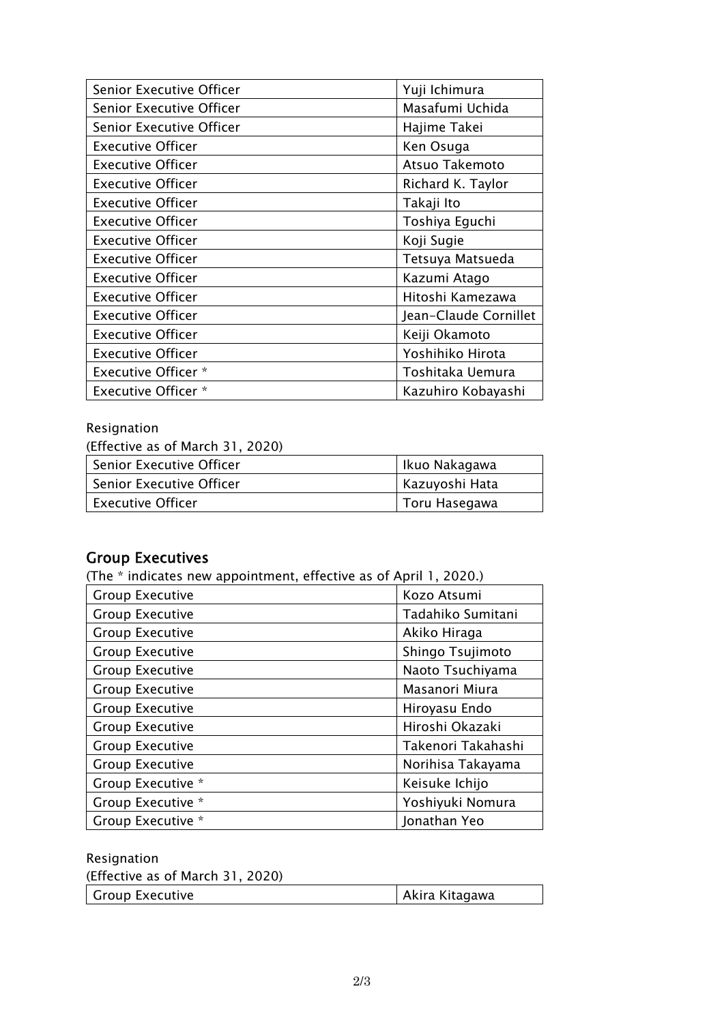| Senior Executive Officer   | Yuji Ichimura         |
|----------------------------|-----------------------|
| Senior Executive Officer   | Masafumi Uchida       |
| Senior Executive Officer   | Hajime Takei          |
| <b>Executive Officer</b>   | Ken Osuga             |
| <b>Executive Officer</b>   | Atsuo Takemoto        |
| <b>Executive Officer</b>   | Richard K. Taylor     |
| <b>Executive Officer</b>   | Takaji Ito            |
| <b>Executive Officer</b>   | Toshiya Eguchi        |
| <b>Executive Officer</b>   | Koji Sugie            |
| <b>Executive Officer</b>   | Tetsuya Matsueda      |
| <b>Executive Officer</b>   | Kazumi Atago          |
| <b>Executive Officer</b>   | Hitoshi Kamezawa      |
| <b>Executive Officer</b>   | Jean-Claude Cornillet |
| <b>Executive Officer</b>   | Keiji Okamoto         |
| <b>Executive Officer</b>   | Yoshihiko Hirota      |
| <b>Executive Officer *</b> | Toshitaka Uemura      |
| <b>Executive Officer *</b> | Kazuhiro Kobayashi    |

#### Resignation

(Effective as of March 31, 2020)

| Senior Executive Officer        | Ikuo Nakagawa  |
|---------------------------------|----------------|
| <b>Senior Executive Officer</b> | Kazuyoshi Hata |
| <b>Executive Officer</b>        | Toru Hasegawa  |

#### Group Executives

(The \* indicates new appointment, effective as of April 1, 2020.)

| <b>Group Executive</b> | Kozo Atsumi        |
|------------------------|--------------------|
| <b>Group Executive</b> | Tadahiko Sumitani  |
| <b>Group Executive</b> | Akiko Hiraga       |
| <b>Group Executive</b> | Shingo Tsujimoto   |
| <b>Group Executive</b> | Naoto Tsuchiyama   |
| <b>Group Executive</b> | Masanori Miura     |
| <b>Group Executive</b> | Hiroyasu Endo      |
| <b>Group Executive</b> | Hiroshi Okazaki    |
| <b>Group Executive</b> | Takenori Takahashi |
| <b>Group Executive</b> | Norihisa Takayama  |
| Group Executive *      | Keisuke Ichijo     |
| Group Executive *      | Yoshiyuki Nomura   |
| Group Executive *      | Jonathan Yeo       |

| Resignation                      |                |
|----------------------------------|----------------|
| (Effective as of March 31, 2020) |                |
| Group Executive                  | Akira Kitagawa |